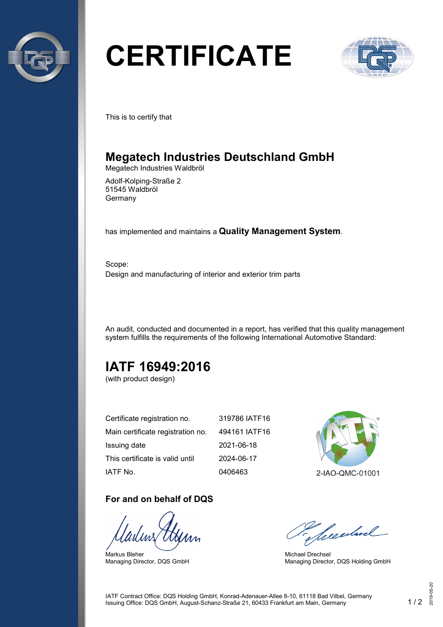

# **CERTIFICATE**



This is to certify that

## **Megatech Industries Deutschland GmbH**

Megatech Industries Waldbröl

Adolf-Kolping-Straße 2 51545 Waldbröl Germany

has implemented and maintains a **Quality Management System**.

Scope: Design and manufacturing of interior and exterior trim parts

An audit, conducted and documented in a report, has verified that this quality management system fulfills the requirements of the following International Automotive Standard:

# **IATF 16949:2016**

(with product design)

| Certificate registration no.      | 319786 IATF16 |
|-----------------------------------|---------------|
| Main certificate registration no. | 494161 IATF16 |
| Issuing date                      | 2021-06-18    |
| This certificate is valid until   | 2024-06-17    |
| IATF No.                          | 0406463       |

#### **For and on behalf of DQS**

Markus Bleher Managing Director, DQS GmbH



2-IAO-QMC-01001

Seculard

Michael Drechsel Managing Director, DQS Holding GmbH

IATF Contract Office: DQS Holding GmbH, Konrad-Adenauer-Allee 8-10, 61118 Bad Vilbel, Germany Issuing Office: DQS GmbH, August-Schanz-Straße 21, 60433 Frankfurt am Main, Germany 1 / 2